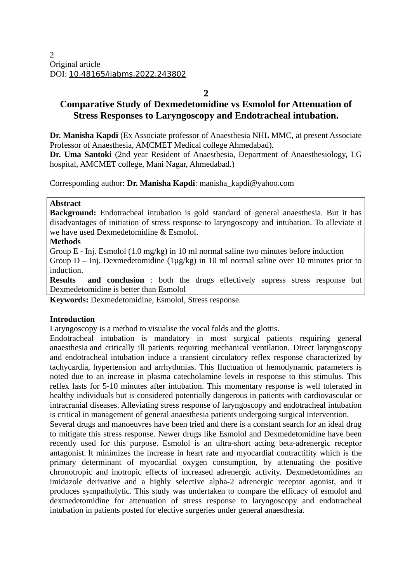**2**

# **Comparative Study of Dexmedetomidine vs Esmolol for Attenuation of Stress Responses to Laryngoscopy and Endotracheal intubation.**

**Dr. Manisha Kapdi** (Ex Associate professor of Anaesthesia NHL MMC, at present Associate Professor of Anaesthesia, AMCMET Medical college Ahmedabad).

**Dr. Uma Santoki** (2nd year Resident of Anaesthesia, Department of Anaesthesiology, LG hospital, AMCMET college, Mani Nagar, Ahmedabad.)

Corresponding author: **Dr. Manisha Kapdi**: manisha\_kapdi@yahoo.com

#### **Abstract**

**Background:** Endotracheal intubation is gold standard of general anaesthesia. But it has disadvantages of initiation of stress response to laryngoscopy and intubation. To alleviate it we have used Dexmedetomidine & Esmolol.

#### **Methods**

Group E - Inj. Esmolol (1.0 mg/kg) in 10 ml normal saline two minutes before induction

Group D – Inj. Dexmedetomidine (1µg/kg) in 10 ml normal saline over 10 minutes prior to induction.

**Results and conclusion** : both the drugs effectively supress stress response but Dexmedetomidine is better than Esmolol

**Keywords:** Dexmedetomidine, Esmolol, Stress response.

#### **Introduction**

Laryngoscopy is a method to visualise the vocal folds and the glottis.

Endotracheal intubation is mandatory in most surgical patients requiring general anaesthesia and critically ill patients requiring mechanical ventilation. Direct laryngoscopy and endotracheal intubation induce a transient circulatory reflex response characterized by tachycardia, hypertension and arrhythmias. This fluctuation of hemodynamic parameters is noted due to an increase in plasma catecholamine levels in response to this stimulus. This reflex lasts for 5-10 minutes after intubation. This momentary response is well tolerated in healthy individuals but is considered potentially dangerous in patients with cardiovascular or intracranial diseases. Alleviating stress response of laryngoscopy and endotracheal intubation is critical in management of general anaesthesia patients undergoing surgical intervention.

Several drugs and manoeuvres have been tried and there is a constant search for an ideal drug to mitigate this stress response. Newer drugs like Esmolol and Dexmedetomidine have been recently used for this purpose. Esmolol is an ultra-short acting beta-adrenergic receptor antagonist. It minimizes the increase in heart rate and myocardial contractility which is the primary determinant of myocardial oxygen consumption, by attenuating the positive chronotropic and inotropic effects of increased adrenergic activity. Dexmedetomidines an imidazole derivative and a highly selective alpha-2 adrenergic receptor agonist, and it produces sympatholytic. This study was undertaken to compare the efficacy of esmolol and dexmedetomidine for attenuation of stress response to laryngoscopy and endotracheal intubation in patients posted for elective surgeries under general anaesthesia.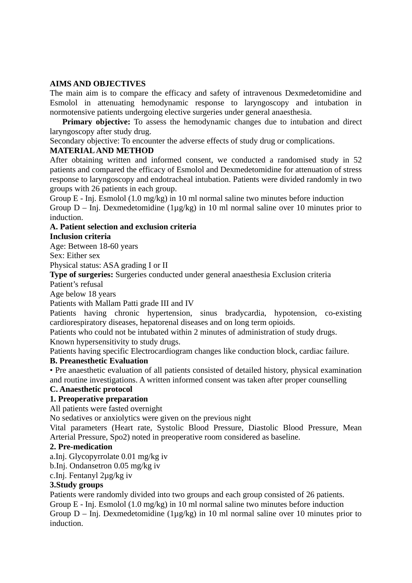## **AIMS AND OBJECTIVES**

The main aim is to compare the efficacy and safety of intravenous Dexmedetomidine and Esmolol in attenuating hemodynamic response to laryngoscopy and intubation in normotensive patients undergoing elective surgeries under general anaesthesia.

**Primary objective:** To assess the hemodynamic changes due to intubation and direct laryngoscopy after study drug.

Secondary objective: To encounter the adverse effects of study drug or complications.

### **MATERIAL AND METHOD**

After obtaining written and informed consent, we conducted a randomised study in 52 patients and compared the efficacy of Esmolol and Dexmedetomidine for attenuation of stress response to laryngoscopy and endotracheal intubation. Patients were divided randomly in two groups with 26 patients in each group.

Group E - Inj. Esmolol (1.0 mg/kg) in 10 ml normal saline two minutes before induction Group  $D - Inj$ . Dexmedetomidine (1µg/kg) in 10 ml normal saline over 10 minutes prior to induction.

### **A. Patient selection and exclusion criteria**

### **Inclusion criteria**

Age: Between 18-60 years

Sex: Either sex

Physical status: ASA grading I or II

**Type of surgeries:** Surgeries conducted under general anaesthesia Exclusion criteria

Patient's refusal

Age below 18 years

Patients with Mallam Patti grade III and IV

Patients having chronic hypertension, sinus bradycardia, hypotension, co-existing cardiorespiratory diseases, hepatorenal diseases and on long term opioids.

Patients who could not be intubated within 2 minutes of administration of study drugs. Known hypersensitivity to study drugs.

Patients having specific Electrocardiogram changes like conduction block, cardiac failure.

### **B. Preanesthetic Evaluation**

• Pre anaesthetic evaluation of all patients consisted of detailed history, physical examination and routine investigations. A written informed consent was taken after proper counselling

### **C. Anaesthetic protocol**

### **1. Preoperative preparation**

All patients were fasted overnight

No sedatives or anxiolytics were given on the previous night

Vital parameters (Heart rate, Systolic Blood Pressure, Diastolic Blood Pressure, Mean Arterial Pressure, Spo2) noted in preoperative room considered as baseline.

#### **2. Pre-medication**

a.Inj. Glycopyrrolate 0.01 mg/kg iv

b.Inj. Ondansetron 0.05 mg/kg iv

c.Inj. Fentanyl 2µg/kg iv

#### **3.Study groups**

Patients were randomly divided into two groups and each group consisted of 26 patients. Group E - Inj. Esmolol (1.0 mg/kg) in 10 ml normal saline two minutes before induction Group  $D - Inj$ . Dexmedetomidine (1µg/kg) in 10 ml normal saline over 10 minutes prior to induction.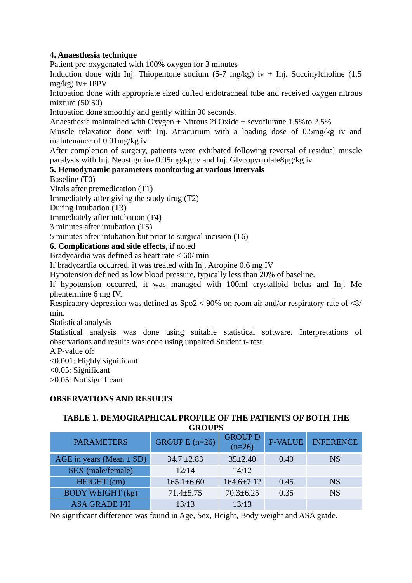## **4. Anaesthesia technique**

Patient pre-oxygenated with 100% oxygen for 3 minutes

Induction done with Inj. Thiopentone sodium  $(5-7 \text{ mg/kg})$  iv  $+$  Inj. Succinylcholine  $(1.5 \text{ m})$ mg/kg) iv+ IPPV

Intubation done with appropriate sized cuffed endotracheal tube and received oxygen nitrous mixture (50:50)

Intubation done smoothly and gently within 30 seconds.

Anaesthesia maintained with Oxygen + Nitrous 2i Oxide + sevoflurane.1.5%to 2.5%

Muscle relaxation done with Inj. Atracurium with a loading dose of 0.5mg/kg iv and maintenance of 0.01mg/kg iv

After completion of surgery, patients were extubated following reversal of residual muscle paralysis with Inj. Neostigmine 0.05mg/kg iv and Inj. Glycopyrrolate8µg/kg iv

### **5. Hemodynamic parameters monitoring at various intervals**

Baseline (T0)

Vitals after premedication (T1)

Immediately after giving the study drug (T2)

During Intubation (T3)

Immediately after intubation (T4)

3 minutes after intubation (T5)

5 minutes after intubation but prior to surgical incision (T6)

### **6. Complications and side effects**, if noted

Bradycardia was defined as heart rate < 60/ min

If bradycardia occurred, it was treated with Inj. Atropine 0.6 mg IV

Hypotension defined as low blood pressure, typically less than 20% of baseline.

If hypotension occurred, it was managed with 100ml crystalloid bolus and Inj. Me phentermine 6 mg IV.

Respiratory depression was defined as Spo2 < 90% on room air and/or respiratory rate of <8/ min.

Statistical analysis

Statistical analysis was done using suitable statistical software. Interpretations of observations and results was done using unpaired Student t- test.

A P-value of:

<0.001: Highly significant

<0.05: Significant

>0.05: Not significant

#### **OBSERVATIONS AND RESULTS**

### **TABLE 1. DEMOGRAPHICAL PROFILE OF THE PATIENTS OF BOTH THE GROUPS**

| <b>PARAMETERS</b>            | GROUP E $(n=26)$ | <b>GROUP D</b><br>$(n=26)$ | <b>P-VALUE</b> | <b>INFERENCE</b> |
|------------------------------|------------------|----------------------------|----------------|------------------|
| AGE in years (Mean $\pm$ SD) | $34.7 \pm 2.83$  | $35\pm2.40$                | 0.40           | NS.              |
| SEX (male/female)            | 12/14            | 14/12                      |                |                  |
| HEIGHT (cm)                  | $165.1 \pm 6.60$ | $164.6 \pm 7.12$           | 0.45           | <b>NS</b>        |
| <b>BODY WEIGHT (kg)</b>      | $71.4 \pm 5.75$  | $70.3 \pm 6.25$            | 0.35           | <b>NS</b>        |
| <b>ASA GRADE I/II</b>        | 13/13            | 13/13                      |                |                  |

No significant difference was found in Age, Sex, Height, Body weight and ASA grade.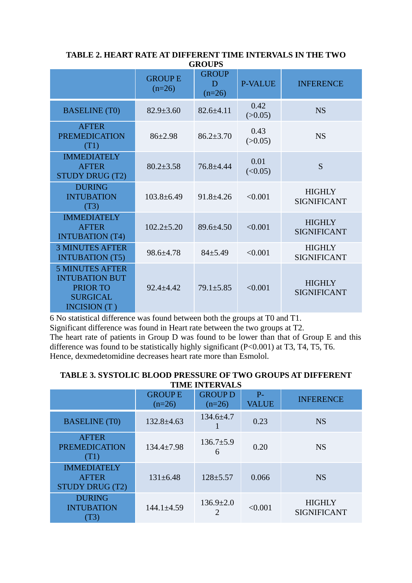| GRUUPS                                                                                                |                           |                               |                 |                                     |  |  |
|-------------------------------------------------------------------------------------------------------|---------------------------|-------------------------------|-----------------|-------------------------------------|--|--|
|                                                                                                       | <b>GROUPE</b><br>$(n=26)$ | <b>GROUP</b><br>D<br>$(n=26)$ | <b>P-VALUE</b>  | <b>INFERENCE</b>                    |  |  |
| <b>BASELINE</b> (T0)                                                                                  | $82.9 \pm 3.60$           | 82.6±4.11                     | 0.42<br>(>0.05) | <b>NS</b>                           |  |  |
| <b>AFTER</b><br><b>PREMEDICATION</b><br>(T1)                                                          | 86±2.98                   | $86.2 \pm 3.70$               | 0.43<br>(>0.05) | <b>NS</b>                           |  |  |
| <b>IMMEDIATELY</b><br><b>AFTER</b><br><b>STUDY DRUG (T2)</b>                                          | $80.2 \pm 3.58$           | 76.8±4.44                     | 0.01<br>(<0.05) | S                                   |  |  |
| <b>DURING</b><br><b>INTUBATION</b><br>(T3)                                                            | $103.8 \pm 6.49$          | $91.8 \pm 4.26$               | < 0.001         | <b>HIGHLY</b><br><b>SIGNIFICANT</b> |  |  |
| <b>IMMEDIATELY</b><br><b>AFTER</b><br><b>INTUBATION</b> (T4)                                          | $102.2 \pm 5.20$          | 89.6±4.50                     | < 0.001         | <b>HIGHLY</b><br><b>SIGNIFICANT</b> |  |  |
| <b>3 MINUTES AFTER</b><br><b>INTUBATION (T5)</b>                                                      | 98.6±4.78                 | 84±5.49                       | < 0.001         | <b>HIGHLY</b><br><b>SIGNIFICANT</b> |  |  |
| <b>5 MINUTES AFTER</b><br><b>INTUBATION BUT</b><br><b>PRIOR TO</b><br><b>SURGICAL</b><br>INCISION (T) | $92.4 \pm 4.42$           | 79.1±5.85                     | < 0.001         | <b>HIGHLY</b><br><b>SIGNIFICANT</b> |  |  |

**TABLE 2. HEART RATE AT DIFFERENT TIME INTERVALS IN THE TWO GROUPS**

6 No statistical difference was found between both the groups at T0 and T1.

Significant difference was found in Heart rate between the two groups at T2.

The heart rate of patients in Group D was found to be lower than that of Group E and this difference was found to be statistically highly significant ( $P < 0.001$ ) at T3, T4, T5, T6. Hence, dexmedetomidine decreases heart rate more than Esmolol.

### **TABLE 3. SYSTOLIC BLOOD PRESSURE OF TWO GROUPS AT DIFFERENT TIME INTERVALS**

|                                                              | <b>GROUPE</b><br>$(n=26)$ | <b>GROUP D</b><br>$(n=26)$ | $P -$<br><b>VALUE</b> | <b>INFERENCE</b>                    |
|--------------------------------------------------------------|---------------------------|----------------------------|-----------------------|-------------------------------------|
| <b>BASELINE</b> (T0)                                         | $132.8 \pm 4.63$          | $134.6 \pm 4.7$            | 0.23                  | <b>NS</b>                           |
| <b>AFTER</b><br><b>PREMEDICATION</b><br>(T1)                 | 134.4±7.98                | $136.7 \pm 5.9$<br>6       | 0.20                  | <b>NS</b>                           |
| <b>IMMEDIATELY</b><br><b>AFTER</b><br><b>STUDY DRUG (T2)</b> | $131 \pm 6.48$            | $128 + 5.57$               | 0.066                 | <b>NS</b>                           |
| <b>DURING</b><br><b>INTUBATION</b><br>T3)                    | 144.1±4.59                | $136.9 \pm 2.0$            | < 0.001               | <b>HIGHLY</b><br><b>SIGNIFICANT</b> |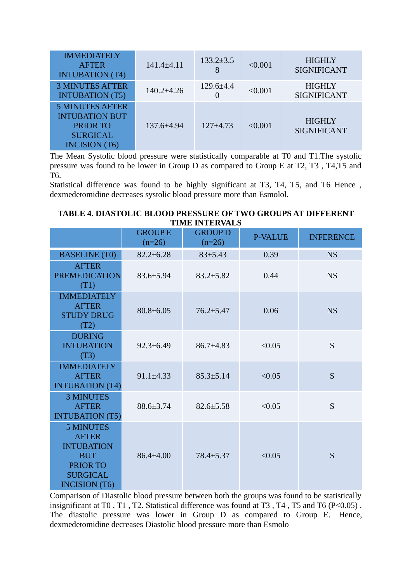| <b>IMMEDIATELY</b><br><b>AFTER</b><br><b>INTUBATION (T4)</b>                                                  | 141.4±4.11       | $133.2 \pm 3.5$<br>8 | < 0.001 | <b>HIGHLY</b><br><b>SIGNIFICANT</b> |
|---------------------------------------------------------------------------------------------------------------|------------------|----------------------|---------|-------------------------------------|
| <b>3 MINUTES AFTER</b><br><b>INTUBATION (T5)</b>                                                              | $140.2 \pm 4.26$ | $129.6 \pm 4.4$      | < 0.001 | <b>HIGHLY</b><br><b>SIGNIFICANT</b> |
| <b>5 MINUTES AFTER</b><br><b>INTUBATION BUT</b><br><b>PRIOR TO</b><br><b>SURGICAL</b><br><b>INCISION</b> (T6) | 137.6±4.94       | 127±4.73             | < 0.001 | <b>HIGHLY</b><br><b>SIGNIFICANT</b> |

The Mean Systolic blood pressure were statistically comparable at T0 and T1.The systolic pressure was found to be lower in Group D as compared to Group E at T2, T3 , T4,T5 and T6.

Statistical difference was found to be highly significant at T3, T4, T5, and T6 Hence , dexmedetomidine decreases systolic blood pressure more than Esmolol.

| TIME INTERVALS                                                                                                             |                           |                            |                |                  |  |  |  |
|----------------------------------------------------------------------------------------------------------------------------|---------------------------|----------------------------|----------------|------------------|--|--|--|
|                                                                                                                            | <b>GROUPE</b><br>$(n=26)$ | <b>GROUP D</b><br>$(n=26)$ | <b>P-VALUE</b> | <b>INFERENCE</b> |  |  |  |
| <b>BASELINE</b> (T0)                                                                                                       | $82.2 \pm 6.28$           | 83±5.43                    | 0.39           | <b>NS</b>        |  |  |  |
| <b>AFTER</b><br><b>PREMEDICATION</b><br>(T1)                                                                               | 83.6±5.94                 | 83.2±5.82                  | 0.44           | <b>NS</b>        |  |  |  |
| <b>IMMEDIATELY</b><br><b>AFTER</b><br><b>STUDY DRUG</b><br>(T2)                                                            | 80.8±6.05                 | 76.2±5.47                  | 0.06           | <b>NS</b>        |  |  |  |
| <b>DURING</b><br><b>INTUBATION</b><br>(T3)                                                                                 | $92.3 \pm 6.49$           | 86.7±4.83                  | < 0.05         | S                |  |  |  |
| <b>IMMEDIATELY</b><br><b>AFTER</b><br><b>INTUBATION (T4)</b>                                                               | 91.1±4.33                 | 85.3±5.14                  | < 0.05         | S                |  |  |  |
| <b>3 MINUTES</b><br><b>AFTER</b><br><b>INTUBATION (T5)</b>                                                                 | 88.6±3.74                 | 82.6±5.58                  | < 0.05         | S                |  |  |  |
| <b>5 MINUTES</b><br><b>AFTER</b><br><b>INTUBATION</b><br><b>BUT</b><br>PRIOR TO<br><b>SURGICAL</b><br><b>INCISION</b> (T6) | 86.4±4.00                 | 78.4±5.37                  | < 0.05         | S                |  |  |  |

**TABLE 4. DIASTOLIC BLOOD PRESSURE OF TWO GROUPS AT DIFFERENT TIME INTERVALS**

Comparison of Diastolic blood pressure between both the groups was found to be statistically insignificant at T0, T1, T2. Statistical difference was found at T3, T4, T5 and T6 (P<0.05). The diastolic pressure was lower in Group D as compared to Group E. Hence, dexmedetomidine decreases Diastolic blood pressure more than Esmolo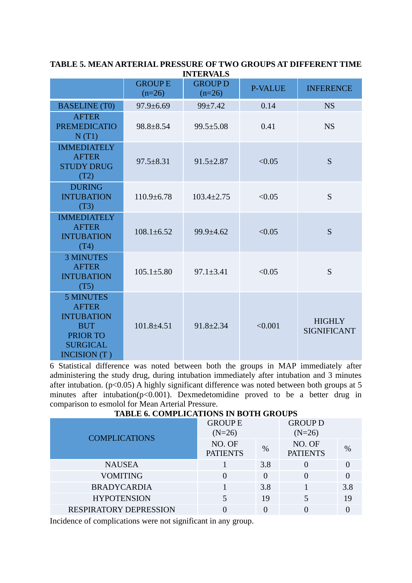|                                                                                                                           |                           | INIERVALS                  |                |                                     |
|---------------------------------------------------------------------------------------------------------------------------|---------------------------|----------------------------|----------------|-------------------------------------|
|                                                                                                                           | <b>GROUPE</b><br>$(n=26)$ | <b>GROUP D</b><br>$(n=26)$ | <b>P-VALUE</b> | <b>INFERENCE</b>                    |
| <b>BASELINE</b> (T0)                                                                                                      | 97.9±6.69                 | 99±7.42                    | 0.14           | <b>NS</b>                           |
| <b>AFTER</b><br><b>PREMEDICATIO</b><br>N(T1)                                                                              | 98.8±8.54                 | $99.5 \pm 5.08$            | 0.41           | <b>NS</b>                           |
| <b>IMMEDIATELY</b><br><b>AFTER</b><br><b>STUDY DRUG</b><br>(T2)                                                           | $97.5 \pm 8.31$           | $91.5 \pm 2.87$            | < 0.05         | S                                   |
| <b>DURING</b><br><b>INTUBATION</b><br>(T3)                                                                                | $110.9 \pm 6.78$          | $103.4 \pm 2.75$           | < 0.05         | S                                   |
| <b>IMMEDIATELY</b><br><b>AFTER</b><br><b>INTUBATION</b><br>(T4)                                                           | $108.1 \pm 6.52$          | 99.9±4.62                  | < 0.05         | S                                   |
| <b>3 MINUTES</b><br><b>AFTER</b><br><b>INTUBATION</b><br>(T5)                                                             | $105.1 \pm 5.80$          | $97.1 \pm 3.41$            | < 0.05         | S                                   |
| <b>5 MINUTES</b><br><b>AFTER</b><br><b>INTUBATION</b><br><b>BUT</b><br><b>PRIOR TO</b><br><b>SURGICAL</b><br>INCISION (T) | $101.8 + 4.51$            | $91.8 \pm 2.34$            | < 0.001        | <b>HIGHLY</b><br><b>SIGNIFICANT</b> |

**TABLE 5. MEAN ARTERIAL PRESSURE OF TWO GROUPS AT DIFFERENT TIME INTEDVALC** 

6 Statistical difference was noted between both the groups in MAP immediately after administering the study drug, during intubation immediately after intubation and 3 minutes after intubation. ( $p<0.05$ ) A highly significant difference was noted between both groups at 5 minutes after intubation( $p$ <0.001). Dexmedetomidine proved to be a better drug in comparison to esmolol for Mean Arterial Pressure.

## **TABLE 6. COMPLICATIONS IN BOTH GROUPS**

| <b>COMPLICATIONS</b>          | <b>GROUP E</b><br>$(N=26)$ |      | <b>GROUP D</b><br>$(N=26)$ |               |
|-------------------------------|----------------------------|------|----------------------------|---------------|
|                               | NO. OF<br><b>PATIENTS</b>  | $\%$ | NO. OF<br><b>PATIENTS</b>  | $\frac{0}{0}$ |
| <b>NAUSEA</b>                 |                            | 3.8  |                            |               |
| <b>VOMITING</b>               |                            |      |                            |               |
| <b>BRADYCARDIA</b>            |                            | 3.8  |                            | 3.8           |
| <b>HYPOTENSION</b>            |                            | 19   | 5                          | 19            |
| <b>RESPIRATORY DEPRESSION</b> |                            |      |                            |               |

Incidence of complications were not significant in any group.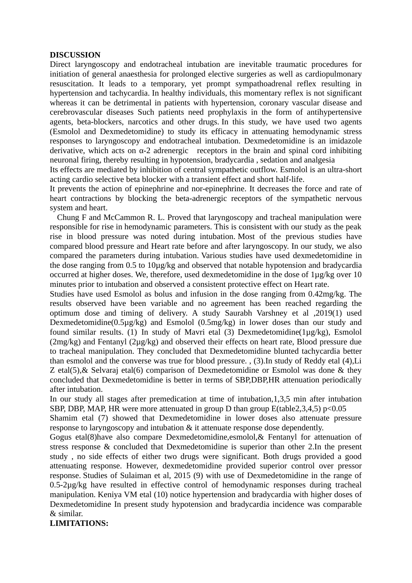#### **DISCUSSION**

Direct laryngoscopy and endotracheal intubation are inevitable traumatic procedures for initiation of general anaesthesia for prolonged elective surgeries as well as cardiopulmonary resuscitation. It leads to a temporary, yet prompt sympathoadrenal reflex resulting in hypertension and tachycardia. In healthy individuals, this momentary reflex is not significant whereas it can be detrimental in patients with hypertension, coronary vascular disease and cerebrovascular diseases Such patients need prophylaxis in the form of antihypertensive agents, beta-blockers, narcotics and other drugs. In this study, we have used two agents (Esmolol and Dexmedetomidine) to study its efficacy in attenuating hemodynamic stress responses to laryngoscopy and endotracheal intubation. Dexmedetomidine is an imidazole derivative, which acts on  $\alpha$ -2 adrenergic receptors in the brain and spinal cord inhibiting neuronal firing, thereby resulting in hypotension, bradycardia , sedation and analgesia

Its effects are mediated by inhibition of central sympathetic outflow. Esmolol is an ultra-short acting cardio selective beta blocker with a transient effect and short half-life.

It prevents the action of epinephrine and nor-epinephrine. It decreases the force and rate of heart contractions by blocking the beta-adrenergic receptors of the sympathetic nervous system and heart.

 Chung F and McCammon R. L. Proved that laryngoscopy and tracheal manipulation were responsible for rise in hemodynamic parameters. This is consistent with our study as the peak rise in blood pressure was noted during intubation. Most of the previous studies have compared blood pressure and Heart rate before and after laryngoscopy. In our study, we also compared the parameters during intubation. Various studies have used dexmedetomidine in the dose ranging from 0.5 to 10µg/kg and observed that notable hypotension and bradycardia occurred at higher doses. We, therefore, used dexmedetomidine in the dose of 1µg/kg over 10 minutes prior to intubation and observed a consistent protective effect on Heart rate.

Studies have used Esmolol as bolus and infusion in the dose ranging from 0.42mg/kg. The results observed have been variable and no agreement has been reached regarding the optimum dose and timing of delivery. A study Saurabh Varshney et al ,2019(1) used Dexmedetomidine(0.5µg/kg) and Esmolol (0.5mg/kg) in lower doses than our study and found similar results. (1) In study of Mavri etal (3) Dexmedetomidine(1µg/kg), Esmolol (2mg/kg) and Fentanyl (2µg/kg) and observed their effects on heart rate, Blood pressure due to tracheal manipulation. They concluded that Dexmedetomidine blunted tachycardia better than esmolol and the converse was true for blood pressure. , (3).In study of Reddy etal (4),Li Z etal(5),& Selvaraj etal(6) comparison of Dexmedetomidine or Esmolol was done & they concluded that Dexmedetomidine is better in terms of SBP,DBP,HR attenuation periodically after intubation.

In our study all stages after premedication at time of intubation,1,3,5 min after intubation SBP, DBP, MAP, HR were more attenuated in group D than group E(table2,3,4,5) p<0.05

Shamim etal (7) showed that Dexmedetomidine in lower doses also attenuate pressure response to laryngoscopy and intubation & it attenuate response dose dependently.

Gogus etal(8)have also compare Dexmedetomidine,esmolol,& Fentanyl for attenuation of stress response & concluded that Dexmedetomidine is superior than other 2.In the present study , no side effects of either two drugs were significant. Both drugs provided a good attenuating response. However, dexmedetomidine provided superior control over pressor response. Studies of Sulaiman et al, 2015 (9) with use of Dexmedetomidine in the range of 0.5-2µg/kg have resulted in effective control of hemodynamic responses during tracheal manipulation. Keniya VM etal (10) notice hypertension and bradycardia with higher doses of Dexmedetomidine In present study hypotension and bradycardia incidence was comparable & similar.

**LIMITATIONS:**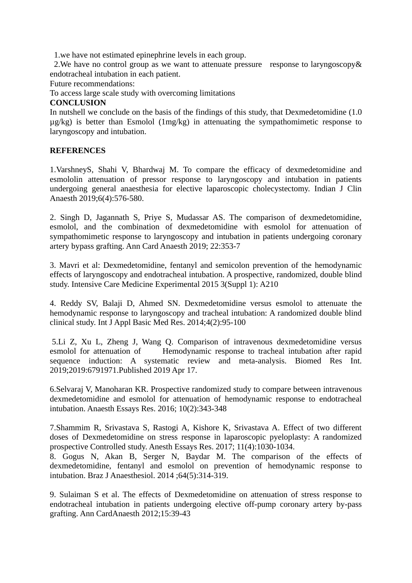1.we have not estimated epinephrine levels in each group.

2.We have no control group as we want to attenuate pressure response to laryngoscopy& endotracheal intubation in each patient.

Future recommendations:

To access large scale study with overcoming limitations

#### **CONCLUSION**

In nutshell we conclude on the basis of the findings of this study, that Dexmedetomidine (1.0 µg/kg) is better than Esmolol (1mg/kg) in attenuating the sympathomimetic response to laryngoscopy and intubation.

## **REFERENCES**

1.VarshneyS, Shahi V, Bhardwaj M. To compare the efficacy of dexmedetomidine and esmololin attenuation of pressor response to laryngoscopy and intubation in patients undergoing general anaesthesia for elective laparoscopic cholecystectomy. Indian J Clin Anaesth 2019;6(4):576-580.

2. Singh D, Jagannath S, Priye S, Mudassar AS. The comparison of dexmedetomidine, esmolol, and the combination of dexmedetomidine with esmolol for attenuation of sympathomimetic response to laryngoscopy and intubation in patients undergoing coronary artery bypass grafting. Ann Card Anaesth 2019; 22:353-7

3. Mavri et al: Dexmedetomidine, fentanyl and semicolon prevention of the hemodynamic effects of laryngoscopy and endotracheal intubation. A prospective, randomized, double blind study. Intensive Care Medicine Experimental 2015 3(Suppl 1): A210

4. Reddy SV, Balaji D, Ahmed SN. Dexmedetomidine versus esmolol to attenuate the hemodynamic response to laryngoscopy and tracheal intubation: A randomized double blind clinical study. Int J Appl Basic Med Res. 2014;4(2):95-100

5.Li Z, Xu L, Zheng J, Wang Q. Comparison of intravenous dexmedetomidine versus esmolol for attenuation of Hemodynamic response to tracheal intubation after rapid sequence induction: A systematic review and meta-analysis. Biomed Res Int. 2019;2019:6791971.Published 2019 Apr 17.

6.Selvaraj V, Manoharan KR. Prospective randomized study to compare between intravenous dexmedetomidine and esmolol for attenuation of hemodynamic response to endotracheal intubation. Anaesth Essays Res. 2016; 10(2):343-348

7.Shammim R, Srivastava S, Rastogi A, Kishore K, Srivastava A. Effect of two different doses of Dexmedetomidine on stress response in laparoscopic pyeloplasty: A randomized prospective Controlled study. Anesth Essays Res. 2017; 11(4):1030-1034.

8. Gogus N, Akan B, Serger N, Baydar M. The comparison of the effects of dexmedetomidine, fentanyl and esmolol on prevention of hemodynamic response to intubation. Braz J Anaesthesiol. 2014 ;64(5):314-319.

9. Sulaiman S et al. The effects of Dexmedetomidine on attenuation of stress response to endotracheal intubation in patients undergoing elective off-pump coronary artery by-pass grafting. Ann CardAnaesth 2012;15:39-43